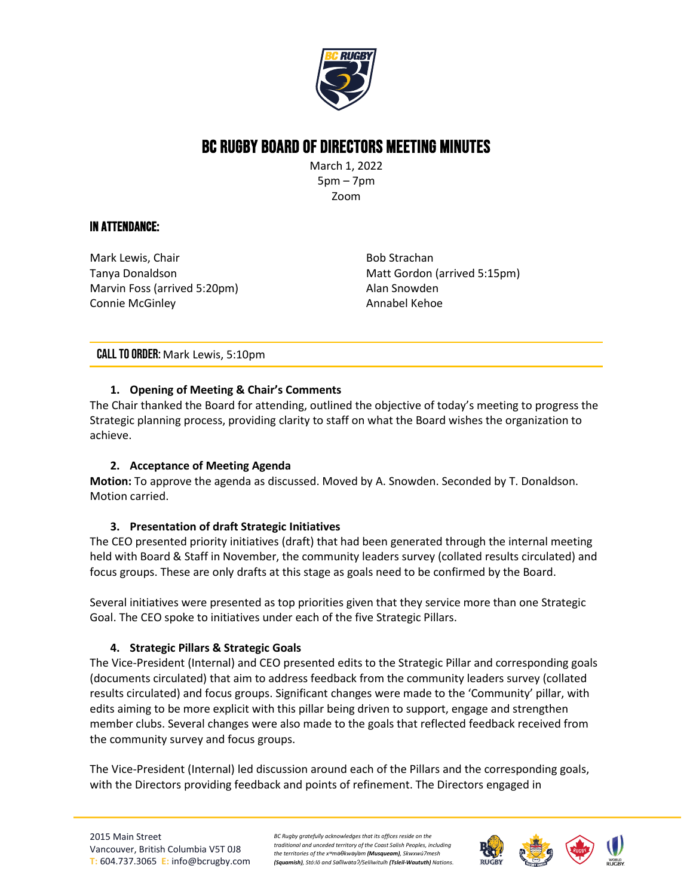

# BC Rugby Board of Directors Meeting Minutes

March 1, 2022 5pm – 7pm Zoom

## In Attendance:

Mark Lewis, Chair Tanya Donaldson Marvin Foss (arrived 5:20pm) Connie McGinley

Bob Strachan Matt Gordon (arrived 5:15pm) Alan Snowden Annabel Kehoe

## CALL TO ORDER: Mark Lewis, 5:10pm

## **1. Opening of Meeting & Chair's Comments**

The Chair thanked the Board for attending, outlined the objective of today's meeting to progress the Strategic planning process, providing clarity to staff on what the Board wishes the organization to achieve.

### **2. Acceptance of Meeting Agenda**

**Motion:** To approve the agenda as discussed. Moved by A. Snowden. Seconded by T. Donaldson. Motion carried.

### **3. Presentation of draft Strategic Initiatives**

The CEO presented priority initiatives (draft) that had been generated through the internal meeting held with Board & Staff in November, the community leaders survey (collated results circulated) and focus groups. These are only drafts at this stage as goals need to be confirmed by the Board.

Several initiatives were presented as top priorities given that they service more than one Strategic Goal. The CEO spoke to initiatives under each of the five Strategic Pillars.

## **4. Strategic Pillars & Strategic Goals**

The Vice-President (Internal) and CEO presented edits to the Strategic Pillar and corresponding goals (documents circulated) that aim to address feedback from the community leaders survey (collated results circulated) and focus groups. Significant changes were made to the 'Community' pillar, with edits aiming to be more explicit with this pillar being driven to support, engage and strengthen member clubs. Several changes were also made to the goals that reflected feedback received from the community survey and focus groups.

The Vice-President (Internal) led discussion around each of the Pillars and the corresponding goals, with the Directors providing feedback and points of refinement. The Directors engaged in

*BC Rugby gratefully acknowledges that its offices reside on the traditional and unceded territory of the Coast Salish Peoples, including the territories of the xʷməθkwəy̓əm (Musqueam), Skwxwú7mesh (Squamish), Stó:lō and Səl̓ílwətaʔ/Selilwitulh (Tsleil-Waututh) Nations.*